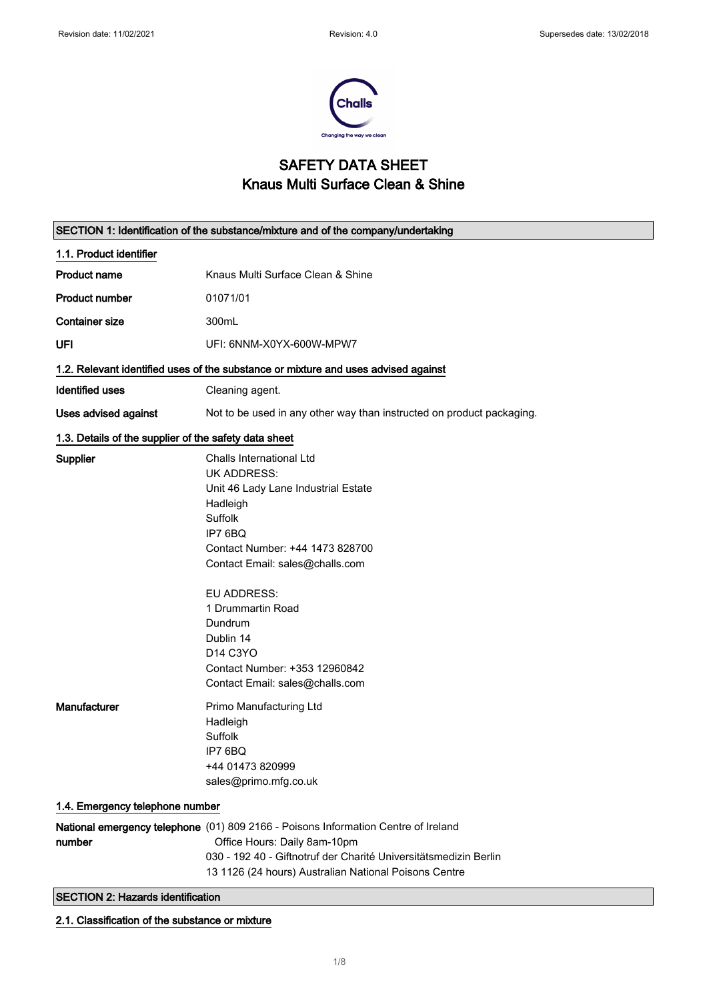$\overline{\phantom{0}}$ 



## SAFETY DATA SHEET Knaus Multi Surface Clean & Shine

| SECTION 1: Identification of the substance/mixture and of the company/undertaking |                                                                                                                                                                                                                                                                                                                                                  |  |
|-----------------------------------------------------------------------------------|--------------------------------------------------------------------------------------------------------------------------------------------------------------------------------------------------------------------------------------------------------------------------------------------------------------------------------------------------|--|
| 1.1. Product identifier                                                           |                                                                                                                                                                                                                                                                                                                                                  |  |
| <b>Product name</b>                                                               | Knaus Multi Surface Clean & Shine                                                                                                                                                                                                                                                                                                                |  |
| <b>Product number</b>                                                             | 01071/01                                                                                                                                                                                                                                                                                                                                         |  |
| <b>Container size</b>                                                             | 300mL                                                                                                                                                                                                                                                                                                                                            |  |
| UFI                                                                               | UFI: 6NNM-X0YX-600W-MPW7                                                                                                                                                                                                                                                                                                                         |  |
|                                                                                   | 1.2. Relevant identified uses of the substance or mixture and uses advised against                                                                                                                                                                                                                                                               |  |
| <b>Identified uses</b>                                                            | Cleaning agent.                                                                                                                                                                                                                                                                                                                                  |  |
| <b>Uses advised against</b>                                                       | Not to be used in any other way than instructed on product packaging.                                                                                                                                                                                                                                                                            |  |
| 1.3. Details of the supplier of the safety data sheet                             |                                                                                                                                                                                                                                                                                                                                                  |  |
| Supplier                                                                          | Challs International Ltd<br><b>UK ADDRESS:</b><br>Unit 46 Lady Lane Industrial Estate<br>Hadleigh<br>Suffolk<br>IP7 6BQ<br>Contact Number: +44 1473 828700<br>Contact Email: sales@challs.com<br><b>EU ADDRESS:</b><br>1 Drummartin Road<br>Dundrum<br>Dublin 14<br>D14 C3YO<br>Contact Number: +353 12960842<br>Contact Email: sales@challs.com |  |
| Manufacturer                                                                      | Primo Manufacturing Ltd<br>Hadleigh<br><b>Suffolk</b><br>IP7 6BQ<br>+44 01473 820999<br>sales@primo.mfg.co.uk                                                                                                                                                                                                                                    |  |
| 1.4. Emergency telephone number                                                   |                                                                                                                                                                                                                                                                                                                                                  |  |
| number<br><b>SECTION 2: Hazards identification</b>                                | National emergency telephone (01) 809 2166 - Poisons Information Centre of Ireland<br>Office Hours: Daily 8am-10pm<br>030 - 192 40 - Giftnotruf der Charité Universitätsmedizin Berlin<br>13 1126 (24 hours) Australian National Poisons Centre                                                                                                  |  |
|                                                                                   |                                                                                                                                                                                                                                                                                                                                                  |  |

2.1. Classification of the substance or mixture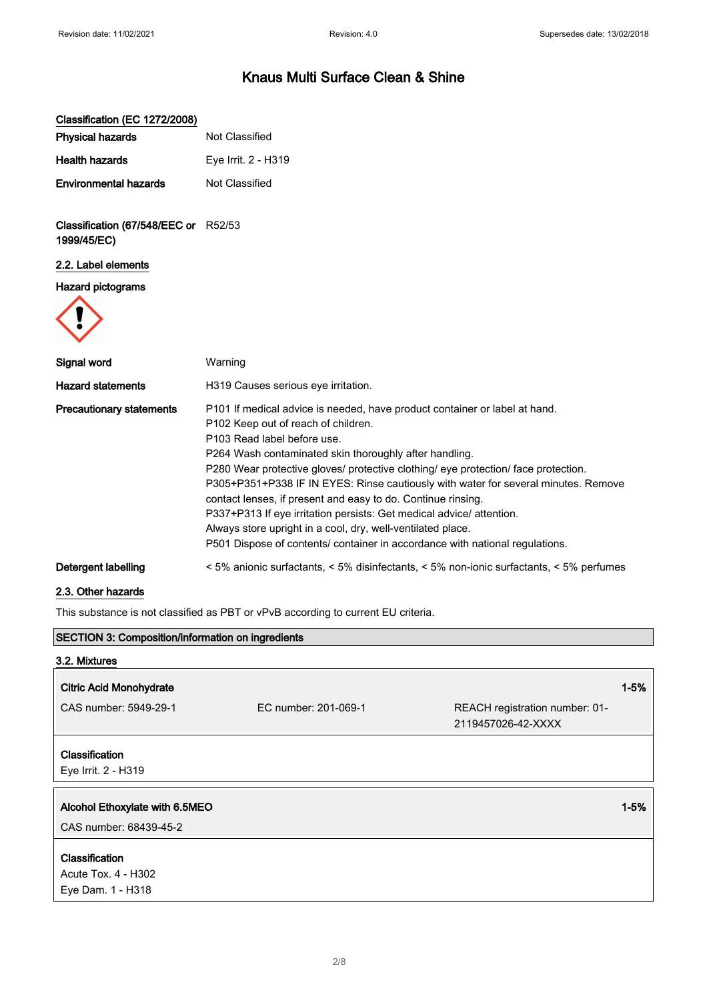| Classification (EC 1272/2008)                            |                                                                                                                                                                                                                                                                                                                                                                                                                                                                                                                                                                                                                                                                               |                                                      |          |
|----------------------------------------------------------|-------------------------------------------------------------------------------------------------------------------------------------------------------------------------------------------------------------------------------------------------------------------------------------------------------------------------------------------------------------------------------------------------------------------------------------------------------------------------------------------------------------------------------------------------------------------------------------------------------------------------------------------------------------------------------|------------------------------------------------------|----------|
| <b>Physical hazards</b>                                  | Not Classified                                                                                                                                                                                                                                                                                                                                                                                                                                                                                                                                                                                                                                                                |                                                      |          |
| Health hazards                                           | Eye Irrit. 2 - H319                                                                                                                                                                                                                                                                                                                                                                                                                                                                                                                                                                                                                                                           |                                                      |          |
| <b>Environmental hazards</b>                             | Not Classified                                                                                                                                                                                                                                                                                                                                                                                                                                                                                                                                                                                                                                                                |                                                      |          |
| Classification (67/548/EEC or R52/53<br>1999/45/EC)      |                                                                                                                                                                                                                                                                                                                                                                                                                                                                                                                                                                                                                                                                               |                                                      |          |
| 2.2. Label elements                                      |                                                                                                                                                                                                                                                                                                                                                                                                                                                                                                                                                                                                                                                                               |                                                      |          |
| <b>Hazard pictograms</b>                                 |                                                                                                                                                                                                                                                                                                                                                                                                                                                                                                                                                                                                                                                                               |                                                      |          |
| Signal word                                              | Warning                                                                                                                                                                                                                                                                                                                                                                                                                                                                                                                                                                                                                                                                       |                                                      |          |
| <b>Hazard statements</b>                                 | H319 Causes serious eye irritation.                                                                                                                                                                                                                                                                                                                                                                                                                                                                                                                                                                                                                                           |                                                      |          |
| <b>Precautionary statements</b>                          | P101 If medical advice is needed, have product container or label at hand.<br>P102 Keep out of reach of children.<br>P103 Read label before use.<br>P264 Wash contaminated skin thoroughly after handling.<br>P280 Wear protective gloves/ protective clothing/ eye protection/ face protection.<br>P305+P351+P338 IF IN EYES: Rinse cautiously with water for several minutes. Remove<br>contact lenses, if present and easy to do. Continue rinsing.<br>P337+P313 If eye irritation persists: Get medical advice/ attention.<br>Always store upright in a cool, dry, well-ventilated place.<br>P501 Dispose of contents/ container in accordance with national regulations. |                                                      |          |
| Detergent labelling                                      | < 5% anionic surfactants, < 5% disinfectants, < 5% non-ionic surfactants, < 5% perfumes                                                                                                                                                                                                                                                                                                                                                                                                                                                                                                                                                                                       |                                                      |          |
| 2.3. Other hazards                                       |                                                                                                                                                                                                                                                                                                                                                                                                                                                                                                                                                                                                                                                                               |                                                      |          |
|                                                          | This substance is not classified as PBT or vPvB according to current EU criteria.                                                                                                                                                                                                                                                                                                                                                                                                                                                                                                                                                                                             |                                                      |          |
| <b>SECTION 3: Composition/information on ingredients</b> |                                                                                                                                                                                                                                                                                                                                                                                                                                                                                                                                                                                                                                                                               |                                                      |          |
| 3.2. Mixtures                                            |                                                                                                                                                                                                                                                                                                                                                                                                                                                                                                                                                                                                                                                                               |                                                      |          |
| <b>Citric Acid Monohydrate</b>                           |                                                                                                                                                                                                                                                                                                                                                                                                                                                                                                                                                                                                                                                                               |                                                      | $1 - 5%$ |
| CAS number: 5949-29-1                                    | EC number: 201-069-1                                                                                                                                                                                                                                                                                                                                                                                                                                                                                                                                                                                                                                                          | REACH registration number: 01-<br>2119457026-42-XXXX |          |
| Classification<br>Eye Irrit. 2 - H319                    |                                                                                                                                                                                                                                                                                                                                                                                                                                                                                                                                                                                                                                                                               |                                                      |          |
| Alcohol Ethoxylate with 6.5MEO                           |                                                                                                                                                                                                                                                                                                                                                                                                                                                                                                                                                                                                                                                                               |                                                      | $1 - 5%$ |
| CAS number: 68439-45-2                                   |                                                                                                                                                                                                                                                                                                                                                                                                                                                                                                                                                                                                                                                                               |                                                      |          |
|                                                          |                                                                                                                                                                                                                                                                                                                                                                                                                                                                                                                                                                                                                                                                               |                                                      |          |

## Classification

Acute Tox. 4 - H302 Eye Dam. 1 - H318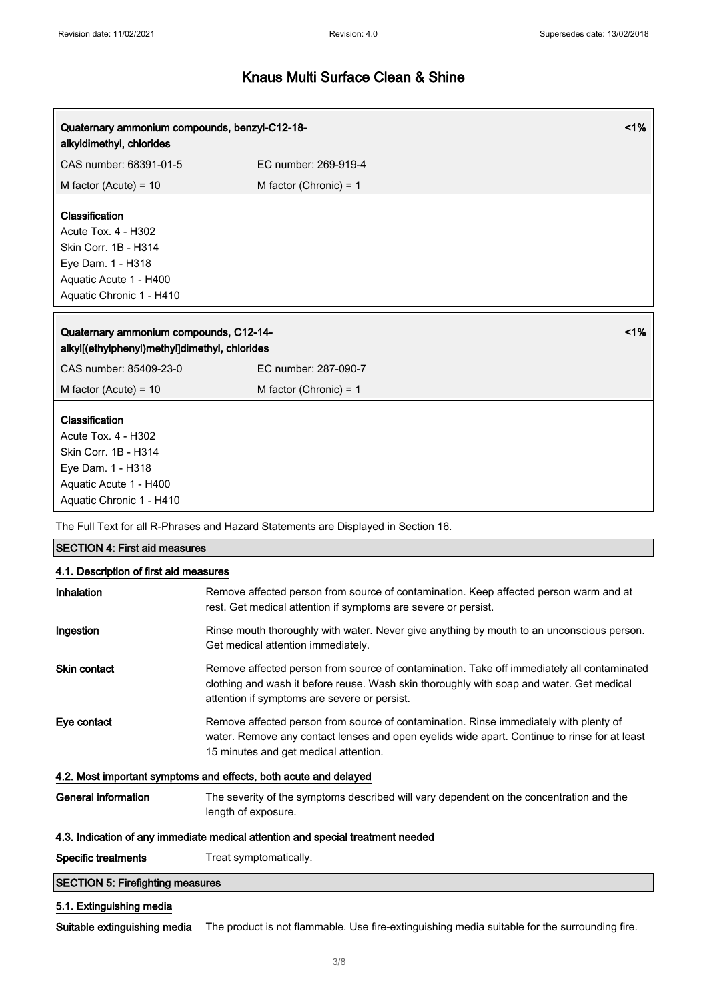| Quaternary ammonium compounds, benzyl-C12-18-<br>alkyldimethyl, chlorides                                                                |                          | 1% |
|------------------------------------------------------------------------------------------------------------------------------------------|--------------------------|----|
| CAS number: 68391-01-5                                                                                                                   | EC number: 269-919-4     |    |
| M factor (Acute) = $10$                                                                                                                  | M factor (Chronic) = $1$ |    |
| Classification<br>Acute Tox. 4 - H302<br>Skin Corr. 1B - H314<br>Eye Dam. 1 - H318<br>Aquatic Acute 1 - H400<br>Aquatic Chronic 1 - H410 |                          |    |
| Quaternary ammonium compounds, C12-14-<br>alkyl[(ethylphenyl)methyl]dimethyl, chlorides                                                  |                          | 1% |
| CAS number: 85409-23-0                                                                                                                   | EC number: 287-090-7     |    |
| M factor (Acute) = $10$                                                                                                                  | M factor (Chronic) = $1$ |    |
| Classification<br>Acute Tox. 4 - H302<br>Skin Corr. 1B - H314<br>Eye Dam. 1 - H318<br>Aquatic Acute 1 - H400<br>Aquatic Chronic 1 - H410 |                          |    |
| The Full Text for all R-Phrases and Hazard Statements are Displayed in Section 16.                                                       |                          |    |
| <b>SECTION 4: First aid measures</b>                                                                                                     |                          |    |

|  |  | 4.1. Description of first aid measures |
|--|--|----------------------------------------|
|  |  |                                        |

| <b>Inhalation</b>                       | Remove affected person from source of contamination. Keep affected person warm and at<br>rest. Get medical attention if symptoms are severe or persist.                                                                                |
|-----------------------------------------|----------------------------------------------------------------------------------------------------------------------------------------------------------------------------------------------------------------------------------------|
| Ingestion                               | Rinse mouth thoroughly with water. Never give anything by mouth to an unconscious person.<br>Get medical attention immediately.                                                                                                        |
| <b>Skin contact</b>                     | Remove affected person from source of contamination. Take off immediately all contaminated<br>clothing and wash it before reuse. Wash skin thoroughly with soap and water. Get medical<br>attention if symptoms are severe or persist. |
| Eye contact                             | Remove affected person from source of contamination. Rinse immediately with plenty of<br>water. Remove any contact lenses and open eyelids wide apart. Continue to rinse for at least<br>15 minutes and get medical attention.         |
|                                         | 4.2. Most important symptoms and effects, both acute and delayed                                                                                                                                                                       |
| <b>General information</b>              | The severity of the symptoms described will vary dependent on the concentration and the<br>length of exposure.                                                                                                                         |
|                                         | 4.3. Indication of any immediate medical attention and special treatment needed                                                                                                                                                        |
| <b>Specific treatments</b>              | Treat symptomatically.                                                                                                                                                                                                                 |
| <b>SECTION 5: Firefighting measures</b> |                                                                                                                                                                                                                                        |
| 5.1. Extinguishing media                |                                                                                                                                                                                                                                        |

Suitable extinguishing media The product is not flammable. Use fire-extinguishing media suitable for the surrounding fire.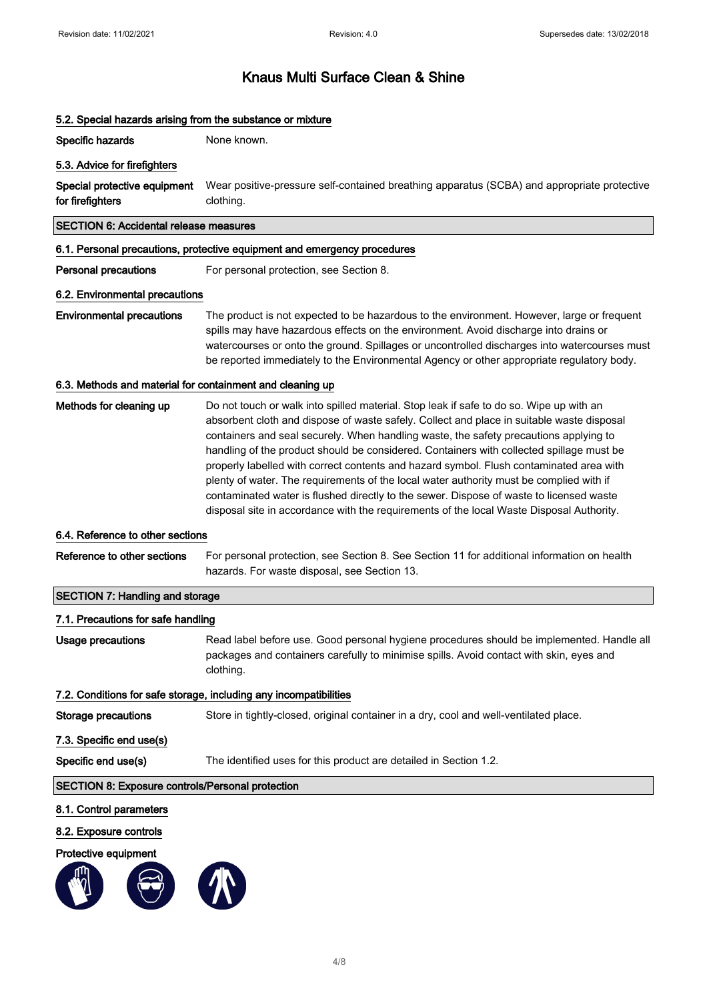## 5.2. Special hazards arising from the substance or mixture Specific hazards None known. 5.3. Advice for firefighters Special protective equipment for firefighters Wear positive-pressure self-contained breathing apparatus (SCBA) and appropriate protective clothing. SECTION 6: Accidental release measures 6.1. Personal precautions, protective equipment and emergency procedures Personal precautions For personal protection, see Section 8. 6.2. Environmental precautions Environmental precautions The product is not expected to be hazardous to the environment. However, large or frequent spills may have hazardous effects on the environment. Avoid discharge into drains or watercourses or onto the ground. Spillages or uncontrolled discharges into watercourses must be reported immediately to the Environmental Agency or other appropriate regulatory body. 6.3. Methods and material for containment and cleaning up Methods for cleaning up Do not touch or walk into spilled material. Stop leak if safe to do so. Wipe up with an absorbent cloth and dispose of waste safely. Collect and place in suitable waste disposal containers and seal securely. When handling waste, the safety precautions applying to handling of the product should be considered. Containers with collected spillage must be properly labelled with correct contents and hazard symbol. Flush contaminated area with plenty of water. The requirements of the local water authority must be complied with if contaminated water is flushed directly to the sewer. Dispose of waste to licensed waste disposal site in accordance with the requirements of the local Waste Disposal Authority. 6.4. Reference to other sections Reference to other sections For personal protection, see Section 8. See Section 11 for additional information on health hazards. For waste disposal, see Section 13. SECTION 7: Handling and storage 7.1. Precautions for safe handling Usage precautions **Read label before use. Good personal hygiene procedures should be implemented. Handle all** packages and containers carefully to minimise spills. Avoid contact with skin, eyes and clothing. 7.2. Conditions for safe storage, including any incompatibilities Storage precautions Store in tightly-closed, original container in a dry, cool and well-ventilated place. 7.3. Specific end use(s) Specific end use(s) The identified uses for this product are detailed in Section 1.2. SECTION 8: Exposure controls/Personal protection 8.1. Control parameters 8.2. Exposure controls Protective equipment

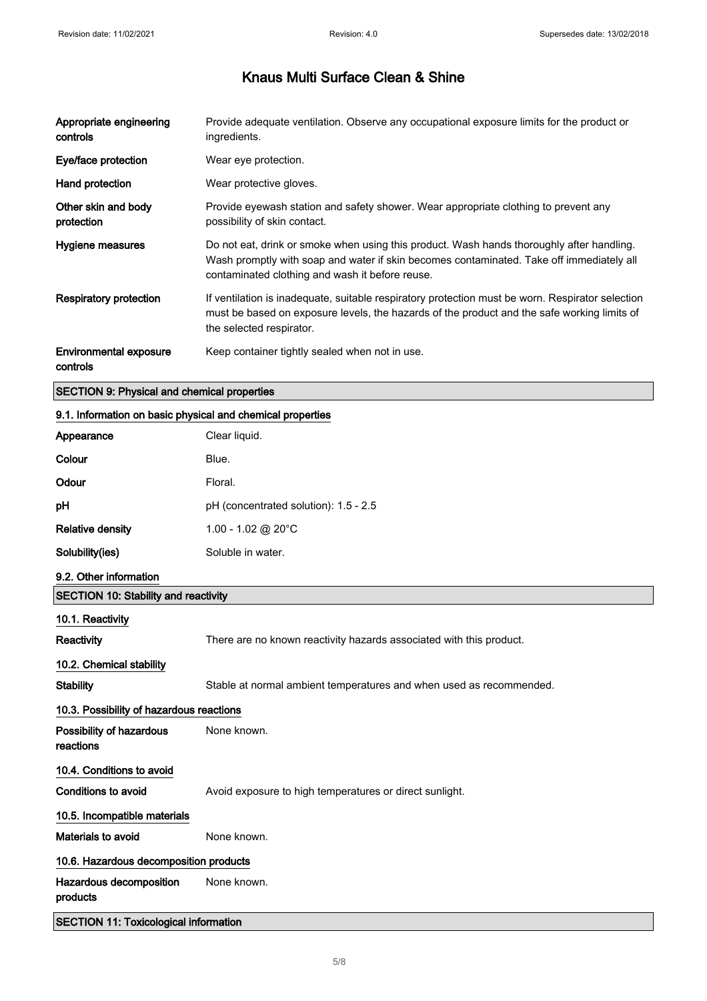| Appropriate engineering<br>controls                | Provide adequate ventilation. Observe any occupational exposure limits for the product or<br>ingredients.                                                                                                                                |
|----------------------------------------------------|------------------------------------------------------------------------------------------------------------------------------------------------------------------------------------------------------------------------------------------|
| Eye/face protection                                | Wear eye protection.                                                                                                                                                                                                                     |
| Hand protection                                    | Wear protective gloves.                                                                                                                                                                                                                  |
| Other skin and body<br>protection                  | Provide eyewash station and safety shower. Wear appropriate clothing to prevent any<br>possibility of skin contact.                                                                                                                      |
| Hygiene measures                                   | Do not eat, drink or smoke when using this product. Wash hands thoroughly after handling.<br>Wash promptly with soap and water if skin becomes contaminated. Take off immediately all<br>contaminated clothing and wash it before reuse. |
| Respiratory protection                             | If ventilation is inadequate, suitable respiratory protection must be worn. Respirator selection<br>must be based on exposure levels, the hazards of the product and the safe working limits of<br>the selected respirator.              |
| Environmental exposure<br>controls                 | Keep container tightly sealed when not in use.                                                                                                                                                                                           |
| <b>SECTION 9: Physical and chemical properties</b> |                                                                                                                                                                                                                                          |

# 9.1. Information on basic physical and chemical properties

| Appearance                                   | Clear liquid.                                                       |  |
|----------------------------------------------|---------------------------------------------------------------------|--|
| Colour                                       | Blue.                                                               |  |
| Odour                                        | Floral.                                                             |  |
| pH                                           | pH (concentrated solution): 1.5 - 2.5                               |  |
| <b>Relative density</b>                      | 1.00 - 1.02 @ 20°C                                                  |  |
| Solubility(ies)                              | Soluble in water.                                                   |  |
| 9.2. Other information                       |                                                                     |  |
| <b>SECTION 10: Stability and reactivity</b>  |                                                                     |  |
| 10.1. Reactivity                             |                                                                     |  |
| Reactivity                                   | There are no known reactivity hazards associated with this product. |  |
| 10.2. Chemical stability                     |                                                                     |  |
| <b>Stability</b>                             | Stable at normal ambient temperatures and when used as recommended. |  |
| 10.3. Possibility of hazardous reactions     |                                                                     |  |
| Possibility of hazardous<br>reactions        | None known.                                                         |  |
| 10.4. Conditions to avoid                    |                                                                     |  |
| <b>Conditions to avoid</b>                   | Avoid exposure to high temperatures or direct sunlight.             |  |
| 10.5. Incompatible materials                 |                                                                     |  |
| Materials to avoid                           | None known.                                                         |  |
| 10.6. Hazardous decomposition products       |                                                                     |  |
| Hazardous decomposition<br>products          | None known.                                                         |  |
| <b>SECTION 11: Toxicological information</b> |                                                                     |  |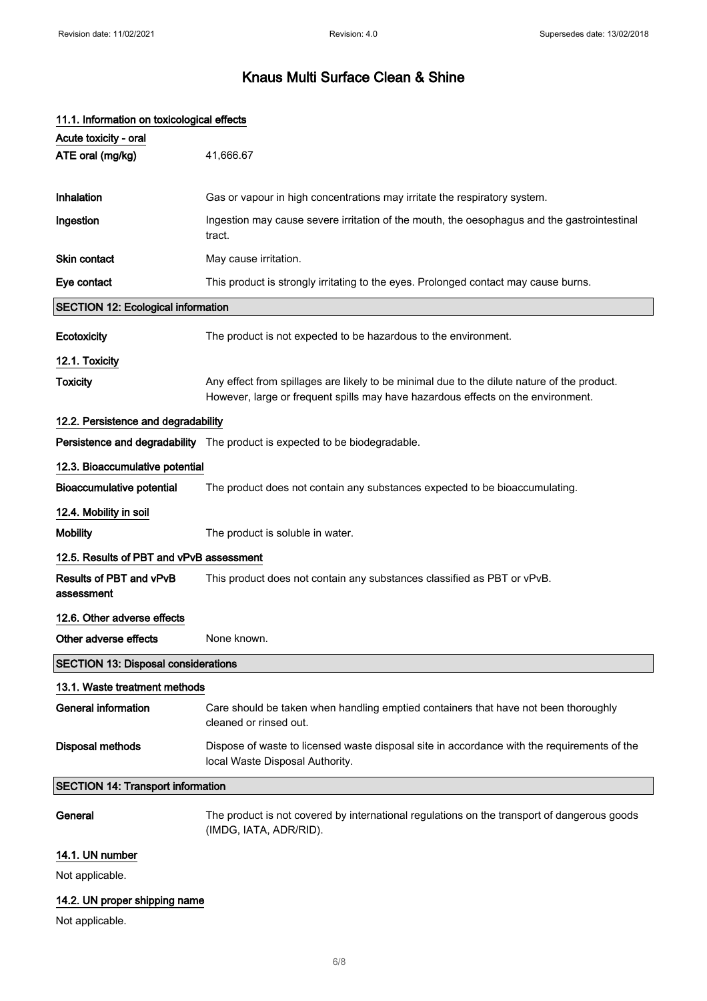| 11.1. Information on toxicological effects |                                                                                                                                                                                 |
|--------------------------------------------|---------------------------------------------------------------------------------------------------------------------------------------------------------------------------------|
| Acute toxicity - oral                      |                                                                                                                                                                                 |
| ATE oral (mg/kg)                           | 41,666.67                                                                                                                                                                       |
|                                            |                                                                                                                                                                                 |
| Inhalation                                 | Gas or vapour in high concentrations may irritate the respiratory system.                                                                                                       |
| Ingestion                                  | Ingestion may cause severe irritation of the mouth, the oesophagus and the gastrointestinal<br>tract.                                                                           |
| <b>Skin contact</b>                        | May cause irritation.                                                                                                                                                           |
| Eye contact                                | This product is strongly irritating to the eyes. Prolonged contact may cause burns.                                                                                             |
| <b>SECTION 12: Ecological information</b>  |                                                                                                                                                                                 |
| Ecotoxicity                                | The product is not expected to be hazardous to the environment.                                                                                                                 |
| 12.1. Toxicity                             |                                                                                                                                                                                 |
| <b>Toxicity</b>                            | Any effect from spillages are likely to be minimal due to the dilute nature of the product.<br>However, large or frequent spills may have hazardous effects on the environment. |
| 12.2. Persistence and degradability        |                                                                                                                                                                                 |
|                                            | Persistence and degradability The product is expected to be biodegradable.                                                                                                      |
| 12.3. Bioaccumulative potential            |                                                                                                                                                                                 |
| <b>Bioaccumulative potential</b>           | The product does not contain any substances expected to be bioaccumulating.                                                                                                     |
| 12.4. Mobility in soil                     |                                                                                                                                                                                 |
| <b>Mobility</b>                            | The product is soluble in water.                                                                                                                                                |
| 12.5. Results of PBT and vPvB assessment   |                                                                                                                                                                                 |
| Results of PBT and vPvB<br>assessment      | This product does not contain any substances classified as PBT or vPvB.                                                                                                         |
| 12.6. Other adverse effects                |                                                                                                                                                                                 |
| Other adverse effects                      | None known.                                                                                                                                                                     |
| <b>SECTION 13: Disposal considerations</b> |                                                                                                                                                                                 |
| 13.1. Waste treatment methods              |                                                                                                                                                                                 |
| <b>General information</b>                 | Care should be taken when handling emptied containers that have not been thoroughly<br>cleaned or rinsed out.                                                                   |
| Disposal methods                           | Dispose of waste to licensed waste disposal site in accordance with the requirements of the<br>local Waste Disposal Authority.                                                  |
| <b>SECTION 14: Transport information</b>   |                                                                                                                                                                                 |
| General                                    | The product is not covered by international regulations on the transport of dangerous goods<br>(IMDG, IATA, ADR/RID).                                                           |
| 14.1. UN number                            |                                                                                                                                                                                 |
| Not applicable.                            |                                                                                                                                                                                 |
| 14.2. UN proper shipping name              |                                                                                                                                                                                 |

Not applicable.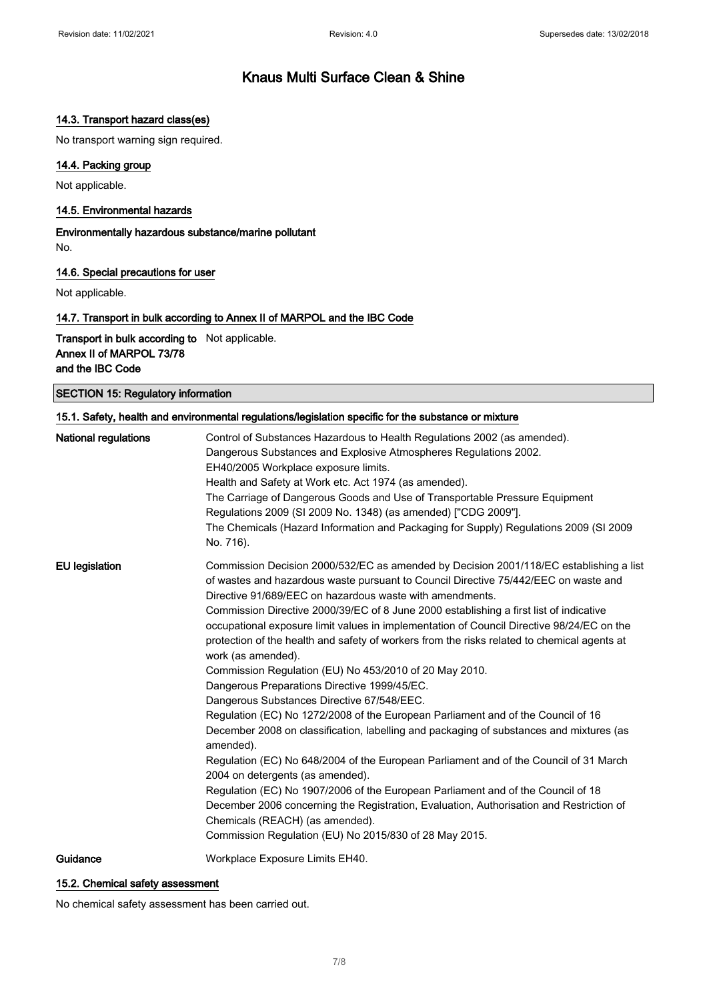### 14.3. Transport hazard class(es)

No transport warning sign required.

### 14.4. Packing group

Not applicable.

#### 14.5. Environmental hazards

Environmentally hazardous substance/marine pollutant No.

#### 14.6. Special precautions for user

Not applicable.

#### 14.7. Transport in bulk according to Annex II of MARPOL and the IBC Code

Transport in bulk according to Not applicable. Annex II of MARPOL 73/78 and the IBC Code

SECTION 15: Regulatory information

| 15.1. Safety, health and environmental regulations/legislation specific for the substance or mixture |                                                                                                                                                                                                                                                                                                                                                                                                                                                                                                                                                                                                                                                                                                                                                                                                                                                                                                                                                                                                                                                                                                                                                                                                                                                                                                                    |  |
|------------------------------------------------------------------------------------------------------|--------------------------------------------------------------------------------------------------------------------------------------------------------------------------------------------------------------------------------------------------------------------------------------------------------------------------------------------------------------------------------------------------------------------------------------------------------------------------------------------------------------------------------------------------------------------------------------------------------------------------------------------------------------------------------------------------------------------------------------------------------------------------------------------------------------------------------------------------------------------------------------------------------------------------------------------------------------------------------------------------------------------------------------------------------------------------------------------------------------------------------------------------------------------------------------------------------------------------------------------------------------------------------------------------------------------|--|
| <b>National regulations</b>                                                                          | Control of Substances Hazardous to Health Regulations 2002 (as amended).<br>Dangerous Substances and Explosive Atmospheres Regulations 2002.<br>EH40/2005 Workplace exposure limits.<br>Health and Safety at Work etc. Act 1974 (as amended).<br>The Carriage of Dangerous Goods and Use of Transportable Pressure Equipment<br>Regulations 2009 (SI 2009 No. 1348) (as amended) ["CDG 2009"].<br>The Chemicals (Hazard Information and Packaging for Supply) Regulations 2009 (SI 2009<br>No. 716).                                                                                                                                                                                                                                                                                                                                                                                                                                                                                                                                                                                                                                                                                                                                                                                                               |  |
| <b>EU</b> legislation                                                                                | Commission Decision 2000/532/EC as amended by Decision 2001/118/EC establishing a list<br>of wastes and hazardous waste pursuant to Council Directive 75/442/EEC on waste and<br>Directive 91/689/EEC on hazardous waste with amendments.<br>Commission Directive 2000/39/EC of 8 June 2000 establishing a first list of indicative<br>occupational exposure limit values in implementation of Council Directive 98/24/EC on the<br>protection of the health and safety of workers from the risks related to chemical agents at<br>work (as amended).<br>Commission Regulation (EU) No 453/2010 of 20 May 2010.<br>Dangerous Preparations Directive 1999/45/EC.<br>Dangerous Substances Directive 67/548/EEC.<br>Regulation (EC) No 1272/2008 of the European Parliament and of the Council of 16<br>December 2008 on classification, labelling and packaging of substances and mixtures (as<br>amended).<br>Regulation (EC) No 648/2004 of the European Parliament and of the Council of 31 March<br>2004 on detergents (as amended).<br>Regulation (EC) No 1907/2006 of the European Parliament and of the Council of 18<br>December 2006 concerning the Registration, Evaluation, Authorisation and Restriction of<br>Chemicals (REACH) (as amended).<br>Commission Regulation (EU) No 2015/830 of 28 May 2015. |  |
| Guidance                                                                                             | Workplace Exposure Limits EH40.                                                                                                                                                                                                                                                                                                                                                                                                                                                                                                                                                                                                                                                                                                                                                                                                                                                                                                                                                                                                                                                                                                                                                                                                                                                                                    |  |

### 15.2. Chemical safety assessment

No chemical safety assessment has been carried out.